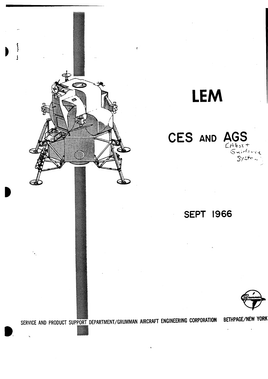

# **LEM**

#### **CES AND AGS**   $C/4$ bort

#### **SEPT 1966**



**SERVICE AND PRODUCT SUPPORT DEPARTMENT/GRUMMAN AIRCRAFT ENGINEERING CORPORATION BETHPAGE/NEW YORK** 

VA

 $5$ /ste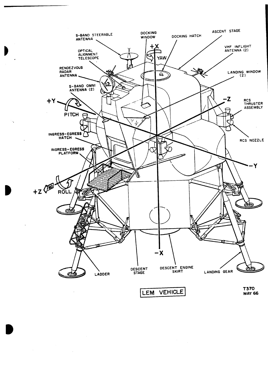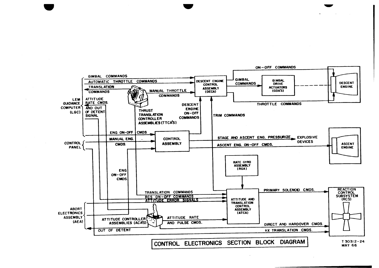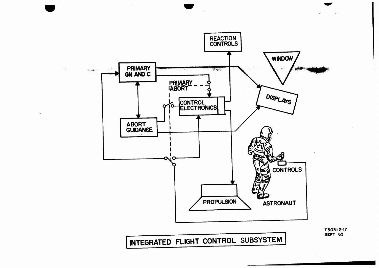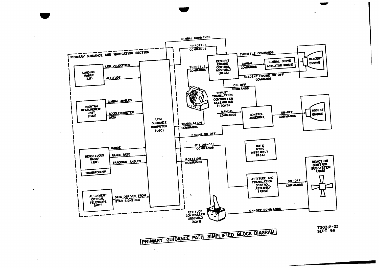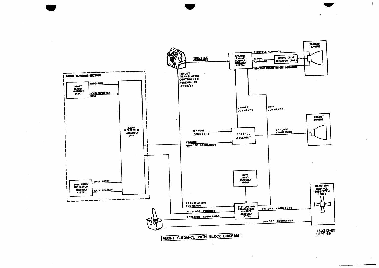

 $\mathbf{I}$ 

 $\sim$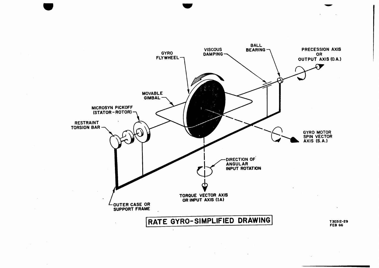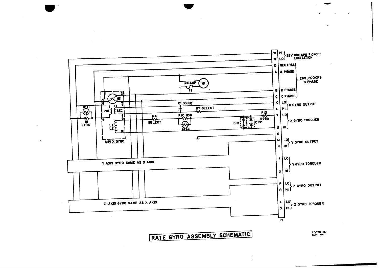



T 30312-27<br>SEPT 66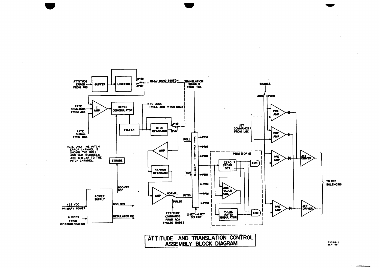



T30312-5<br>SEPT 65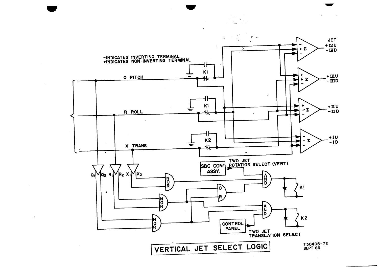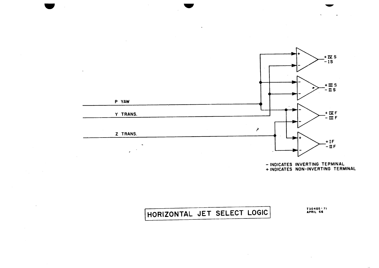

 $\mathcal{L}_{\mathcal{L}}$ 

**- INDICATES INVERTING TEPMINAL + INDICATES NON-INVERTING TERMINAL** 

## **HORIZONTAL JET SELECT LOGIC T30405 -71 APRIL 66**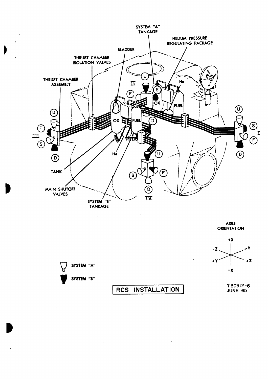

**AXES ORIENTATION** 



 $\sim$ 

 $\bar{a}$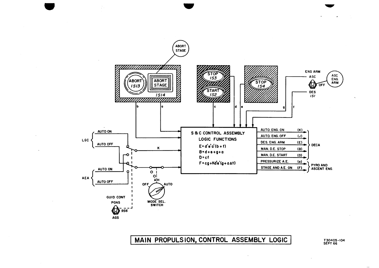

#### MAIN PROPULSION, CONTROL ASSEMBLY LOGIC

T30405-104<br>SEPT 66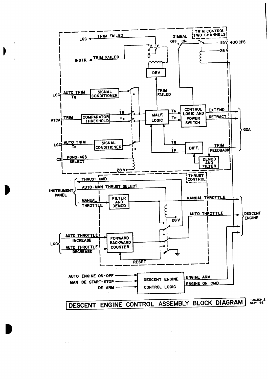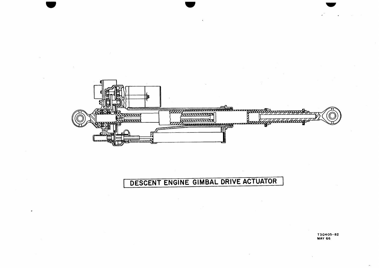

### DESCENT ENGINE GIMBAL DRIVE ACTUATOR

T30405-82<br>MAY 66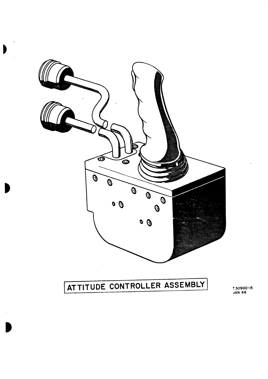

)

I)

# **ATTITUDE CONTROLLER ASSEMBLY**

T30900-15<br>JAN 66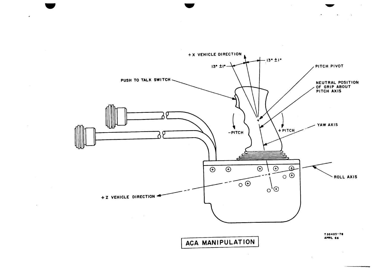

 $\sim$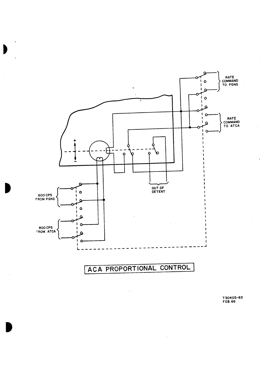

#### **ACA PROPORTIONAL CONTROL**

 $\ddot{\phantom{a}}$ 

**T30405-83 FEB 66**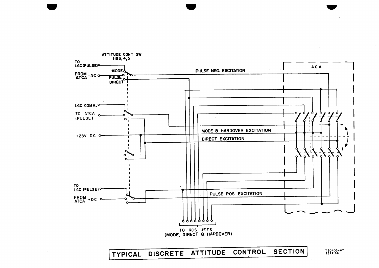**(TYPICAL DISCRETE ATTITUDE CONTROL SECTION( 130405-67 SEPT 66** 



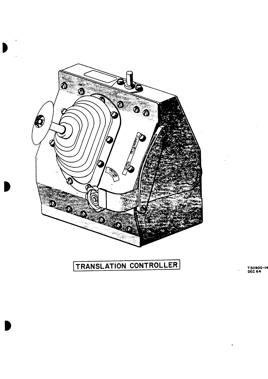

### TRANSLATION CONTROLLER

T30900-14<br>DEC 64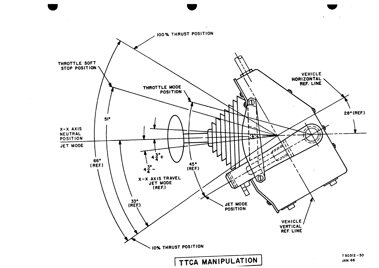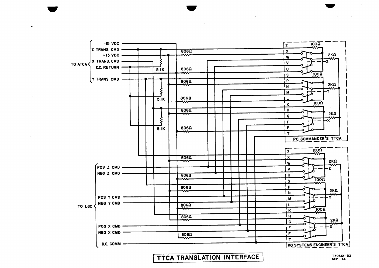TTCA TRANSLATION INTERFACE

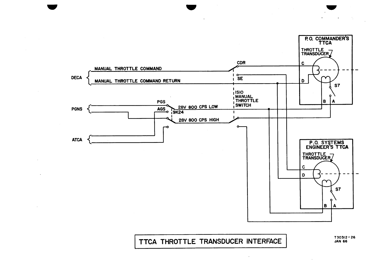

TTCA THROTTLE TRANSDUCER INTERFACE

 $T30312 - 26$ **JAN 66**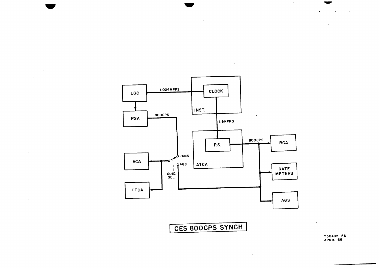**CES 800CPS SYNCH 1** 

 $\sim$ 



**LGC I.024M PPS CLOCK** 

 $\Delta$ 

 $\sim$ 

 $\ddot{\phantom{a}}$ 

 $\sim$   $\sim$ 

 $\ddot{\phantom{a}}$ 

 $\mathcal{L}_{\mathbf{r}}$ 

**APRIL 66** 

 $\sim 100$ 

 $\Delta$ 

 $\sim 10^{-1}$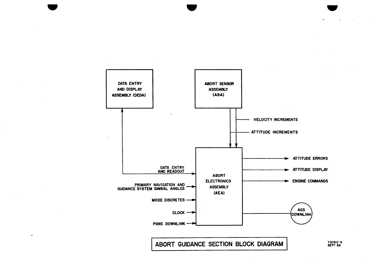

**ABORT GUIDANCE SECTION BLOCK DIAGRAM T30312 - 9 SEPT 66**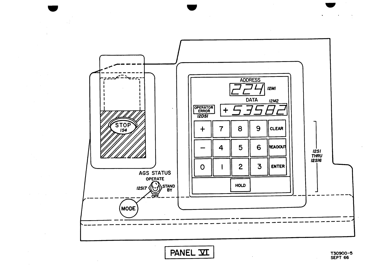

PANEL VI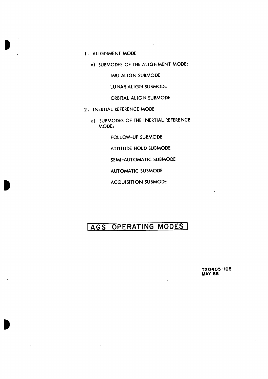- **1. ALIGNMENT MODE** 
	- **a) SUBMODES OF THE ALIGNMENT MODE:**

**IMU ALIGN SUBMODE** 

**LUNAR ALIGN SUBMODE** 

**ORBITAL ALIGN SUBMODE** 

- **2. INERTIAL REFERENCE MODE** 
	- **a) SUBMODES OF THE INERTIAL REFERENCE MODE:**

**FOLLOW-UP SUBMODE** 

**ATTITUDE HOLD SUBMODE** 

**SEMI-AUTOMATIC SUBMODE** 

**AUTOMATIC SUBMODE** 

**ACQUISITION SUBMODE** 

#### **AGS OPERATING MODES <sup>I</sup>**

**•** 

**T30405-105 MAY 66**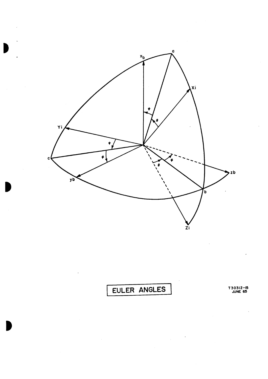

EULER ANGLES

T30312-15<br>JUNE 65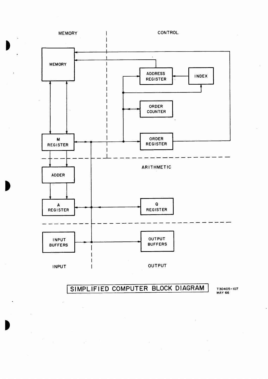![](_page_28_Figure_0.jpeg)

 $\blacksquare$ 

o

**i SIMPLIFIED COMPUTER BLOCK DIAGRAM T30405-107** 

**MAY 66**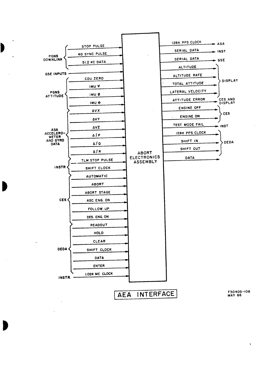![](_page_29_Figure_0.jpeg)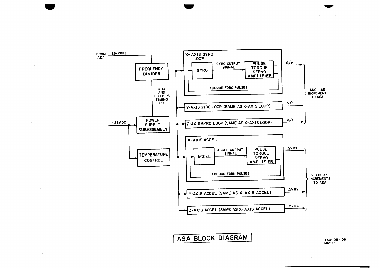![](_page_30_Figure_0.jpeg)

ASA BLOCK DIAGRAM

T30405-109 **MAY 66**